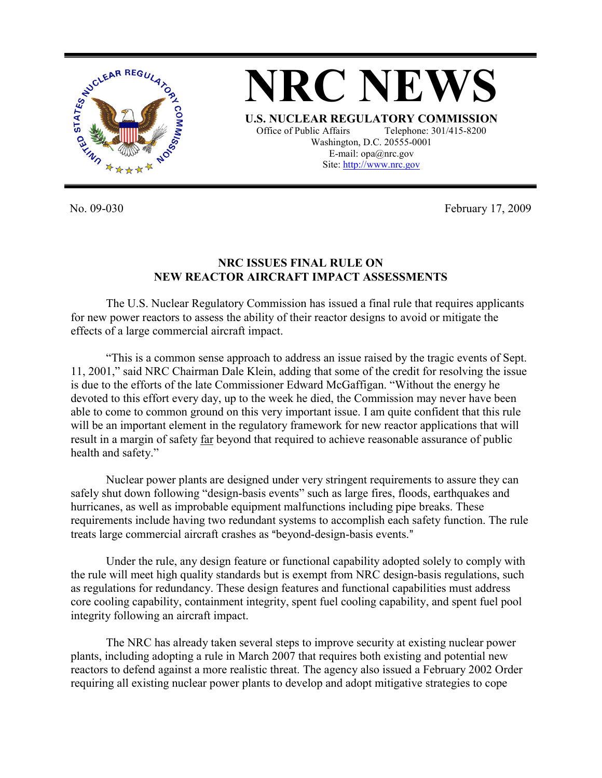

**NRC NEWS U.S. NUCLEAR REGULATORY COMMISSION** Office of Public Affairs Telephone: 301/415-8200 Washington, D.C. 20555-0001 E-mail: opa@nrc.gov Site: http://www.nrc.gov

No. 09-030 February 17, 2009

## **NRC ISSUES FINAL RULE ON NEW REACTOR AIRCRAFT IMPACT ASSESSMENTS**

The U.S. Nuclear Regulatory Commission has issued a final rule that requires applicants for new power reactors to assess the ability of their reactor designs to avoid or mitigate the effects of a large commercial aircraft impact.

"This is a common sense approach to address an issue raised by the tragic events of Sept. 11, 2001," said NRC Chairman Dale Klein, adding that some of the credit for resolving the issue is due to the efforts of the late Commissioner Edward McGaffigan. "Without the energy he devoted to this effort every day, up to the week he died, the Commission may never have been able to come to common ground on this very important issue. I am quite confident that this rule will be an important element in the regulatory framework for new reactor applications that will result in a margin of safety far beyond that required to achieve reasonable assurance of public health and safety."

 Nuclear power plants are designed under very stringent requirements to assure they can safely shut down following "design-basis events" such as large fires, floods, earthquakes and hurricanes, as well as improbable equipment malfunctions including pipe breaks. These requirements include having two redundant systems to accomplish each safety function. The rule treats large commercial aircraft crashes as "beyond-design-basis events."

Under the rule, any design feature or functional capability adopted solely to comply with the rule will meet high quality standards but is exempt from NRC design-basis regulations, such as regulations for redundancy. These design features and functional capabilities must address core cooling capability, containment integrity, spent fuel cooling capability, and spent fuel pool integrity following an aircraft impact.

The NRC has already taken several steps to improve security at existing nuclear power plants, including adopting a rule in March 2007 that requires both existing and potential new reactors to defend against a more realistic threat. The agency also issued a February 2002 Order requiring all existing nuclear power plants to develop and adopt mitigative strategies to cope